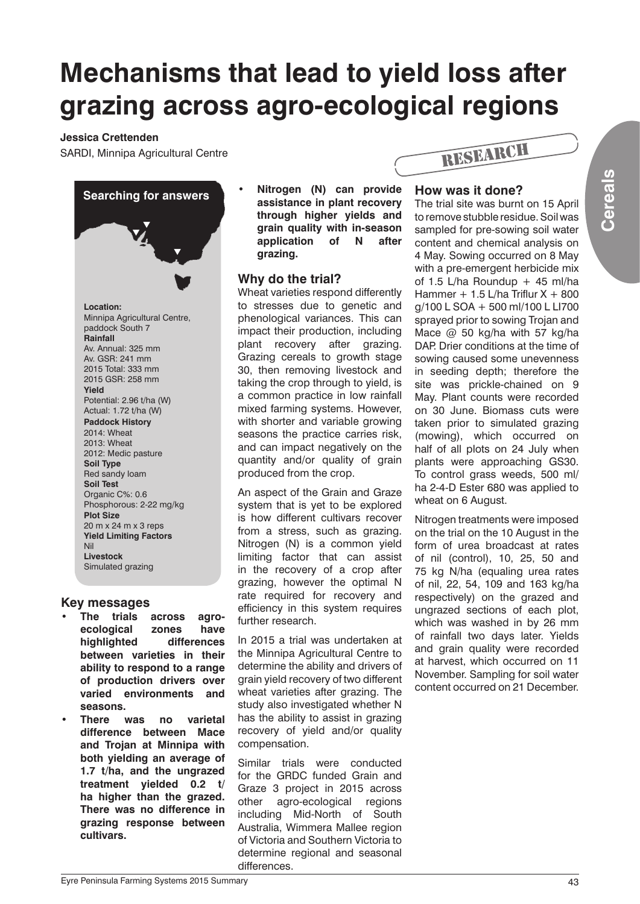# **Mechanisms that lead to yield loss after grazing across agro-ecological regions**

#### **Jessica Crettenden**

SARDI, Minnipa Agricultural Centre



# **Key messages**

- The trials across agro**ecological zones have highlighted differences between varieties in their ability to respond to a range of production drivers over varied environments and seasons.**
- **There was no varietal difference between Mace and Trojan at Minnipa with both yielding an average of 1.7 t/ha, and the ungrazed treatment yielded 0.2 t/ ha higher than the grazed. There was no difference in grazing response between cultivars.**

**Nitrogen (N) can provide assistance in plant recovery through higher yields and grain quality with in-season application of N after grazing.**

# **Why do the trial?**

Wheat varieties respond differently to stresses due to genetic and phenological variances. This can impact their production, including plant recovery after grazing. Grazing cereals to growth stage 30, then removing livestock and taking the crop through to yield, is a common practice in low rainfall mixed farming systems. However, with shorter and variable growing seasons the practice carries risk, and can impact negatively on the quantity and/or quality of grain produced from the crop.

An aspect of the Grain and Graze system that is yet to be explored is how different cultivars recover from a stress, such as grazing. Nitrogen (N) is a common yield limiting factor that can assist in the recovery of a crop after grazing, however the optimal N rate required for recovery and efficiency in this system requires further research.

In 2015 a trial was undertaken at the Minnipa Agricultural Centre to determine the ability and drivers of grain yield recovery of two different wheat varieties after grazing. The study also investigated whether N has the ability to assist in grazing recovery of yield and/or quality compensation.

Similar trials were conducted for the GRDC funded Grain and Graze 3 project in 2015 across other agro-ecological regions including Mid-North of South Australia, Wimmera Mallee region of Victoria and Southern Victoria to determine regional and seasonal differences.



### **How was it done?**

The trial site was burnt on 15 April to remove stubble residue. Soil was sampled for pre-sowing soil water content and chemical analysis on 4 May. Sowing occurred on 8 May with a pre-emergent herbicide mix of 1.5 L/ha Roundup  $+$  45 ml/ha Hammer  $+1.5$  L/ha Triflur  $X + 800$ g/100 L SOA + 500 ml/100 L LI700 sprayed prior to sowing Trojan and Mace @ 50 kg/ha with 57 kg/ha DAP. Drier conditions at the time of sowing caused some unevenness in seeding depth; therefore the site was prickle-chained on 9 May. Plant counts were recorded on 30 June. Biomass cuts were taken prior to simulated grazing (mowing), which occurred on half of all plots on 24 July when plants were approaching GS30. To control grass weeds, 500 ml/ ha 2-4-D Ester 680 was applied to wheat on 6 August.

Nitrogen treatments were imposed on the trial on the 10 August in the form of urea broadcast at rates of nil (control), 10, 25, 50 and 75 kg N/ha (equaling urea rates of nil, 22, 54, 109 and 163 kg/ha respectively) on the grazed and ungrazed sections of each plot, which was washed in by 26 mm of rainfall two days later. Yields and grain quality were recorded at harvest, which occurred on 11 November. Sampling for soil water content occurred on 21 December.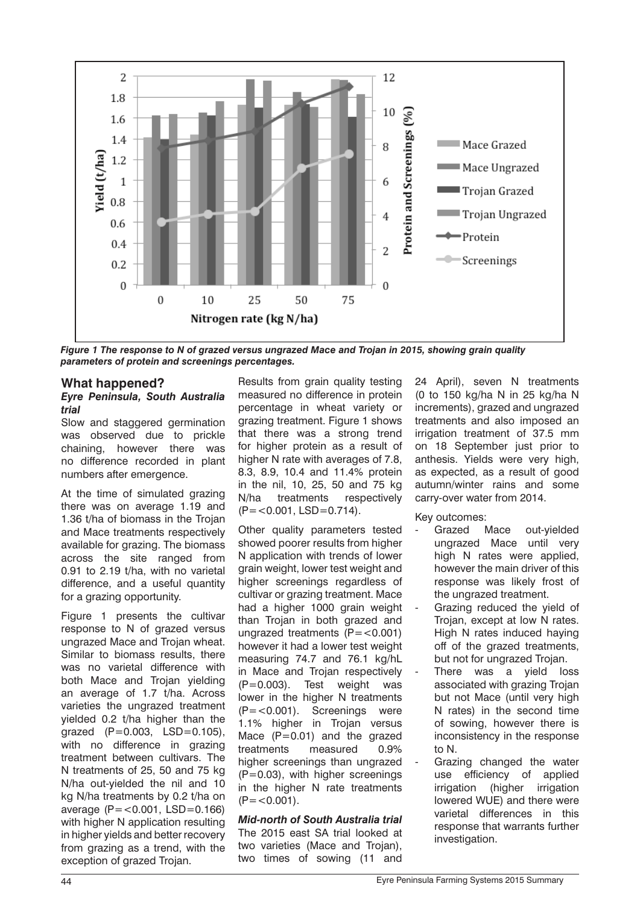

*Figure 1 The response to N of grazed versus ungrazed Mace and Trojan in 2015, showing grain quality parameters of protein and screenings percentages.*

# **What happened?**

#### *Eyre Peninsula, South Australia trial*

Slow and staggered germination was observed due to prickle chaining, however there was no difference recorded in plant numbers after emergence.

At the time of simulated grazing there was on average 1.19 and 1.36 t/ha of biomass in the Trojan and Mace treatments respectively available for grazing. The biomass across the site ranged from 0.91 to 2.19 t/ha, with no varietal difference, and a useful quantity for a grazing opportunity.

Figure 1 presents the cultivar response to N of grazed versus ungrazed Mace and Trojan wheat. Similar to biomass results, there was no varietal difference with both Mace and Trojan yielding an average of 1.7 t/ha. Across varieties the ungrazed treatment yielded 0.2 t/ha higher than the grazed  $(P=0.003, LSD=0.105)$ , with no difference in grazing treatment between cultivars. The N treatments of 25, 50 and 75 kg N/ha out-yielded the nil and 10 kg N/ha treatments by 0.2 t/ha on average  $(P = 0.001, LSD = 0.166)$ with higher N application resulting in higher yields and better recovery from grazing as a trend, with the exception of grazed Trojan.

Results from grain quality testing measured no difference in protein percentage in wheat variety or grazing treatment. Figure 1 shows that there was a strong trend for higher protein as a result of higher N rate with averages of 7.8, 8.3, 8.9, 10.4 and 11.4% protein in the nil, 10, 25, 50 and 75 kg N/ha treatments respectively  $(P = < 0.001, LSD = 0.714).$ 

Other quality parameters tested showed poorer results from higher N application with trends of lower grain weight, lower test weight and higher screenings regardless of cultivar or grazing treatment. Mace had a higher 1000 grain weight than Trojan in both grazed and ungrazed treatments  $(P = < 0.001)$ however it had a lower test weight measuring 74.7 and 76.1 kg/hL in Mace and Trojan respectively (P=0.003). Test weight was lower in the higher N treatments (P=<0.001). Screenings were 1.1% higher in Trojan versus Mace  $(P=0.01)$  and the grazed treatments measured 0.9% higher screenings than ungrazed  $(P=0.03)$ , with higher screenings in the higher N rate treatments  $(P = < 0.001)$ .

*Mid-north of South Australia trial* The 2015 east SA trial looked at two varieties (Mace and Trojan), two times of sowing (11 and

24 April), seven N treatments (0 to 150 kg/ha N in 25 kg/ha N increments), grazed and ungrazed treatments and also imposed an irrigation treatment of 37.5 mm on 18 September just prior to anthesis. Yields were very high, as expected, as a result of good autumn/winter rains and some carry-over water from 2014.

Key outcomes:

- Grazed Mace out-vielded ungrazed Mace until very high N rates were applied, however the main driver of this response was likely frost of the ungrazed treatment.
- Grazing reduced the yield of Trojan, except at low N rates. High N rates induced haying off of the grazed treatments, but not for ungrazed Trojan.
- There was a yield loss associated with grazing Trojan but not Mace (until very high N rates) in the second time of sowing, however there is inconsistency in the response to N.
- Grazing changed the water use efficiency of applied irrigation (higher irrigation lowered WUE) and there were varietal differences in this response that warrants further investigation.